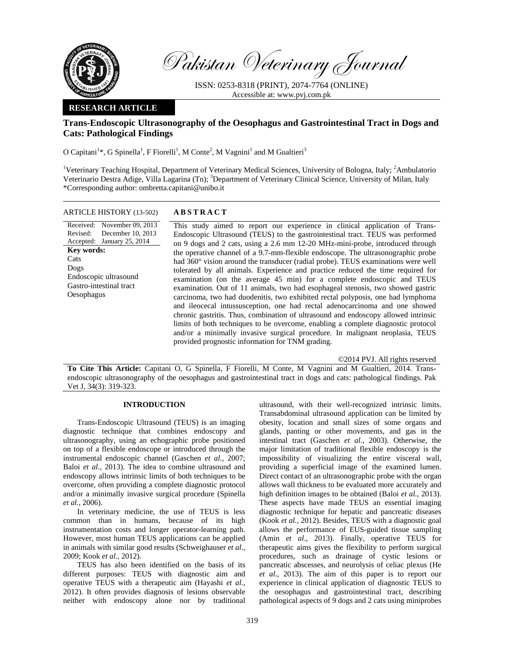

Pakistan Veterinary Journal

ISSN: 0253-8318 (PRINT), 2074-7764 (ONLINE) Accessible at: www.pvj.com.pk

# **RESEARCH ARTICLE**

# **Trans-Endoscopic Ultrasonography of the Oesophagus and Gastrointestinal Tract in Dogs and Cats: Pathological Findings**

O Capitani<sup>1</sup>\*, G Spinella<sup>1</sup>, F Fiorelli<sup>1</sup>, M Conte<sup>2</sup>, M Vagnini<sup>1</sup> and M Gualtieri<sup>3</sup>

<sup>1</sup>Veterinary Teaching Hospital, Department of Veterinary Medical Sciences, University of Bologna, Italy; <sup>2</sup>Ambulatorio Veterinario Destra Adige, Villa Lagarina (Tn); <sup>3</sup>Department of Veterinary Clinical Science, University of Milan, Italy \*Corresponding author: ombretta.capitani@unibo.it

#### ARTICLE HISTORY (13-502) **ABSTRACT**

Received: November 09, 2013 Revised: Accepted: January 25, 2014 December 10, 2013 **Key words:**  Cats Dogs Endoscopic ultrasound Gastro-intestinal tract Oesophagus

 This study aimed to report our experience in clinical application of Trans-Endoscopic Ultrasound (TEUS) to the gastrointestinal tract. TEUS was performed on 9 dogs and 2 cats, using a 2.6 mm 12-20 MHz-mini-probe, introduced through the operative channel of a 9.7-mm-flexible endoscope. The ultrasonographic probe had 360° vision around the transducer (radial probe). TEUS examinations were well tolerated by all animals. Experience and practice reduced the time required for examination (on the average 45 min) for a complete endoscopic and TEUS examination. Out of 11 animals, two had esophageal stenosis, two showed gastric carcinoma, two had duodenitis, two exhibited rectal polyposis, one had lymphoma and ileocecal intussusception, one had rectal adenocarcinoma and one showed chronic gastritis. Thus, combination of ultrasound and endoscopy allowed intrinsic limits of both techniques to be overcome, enabling a complete diagnostic protocol and/or a minimally invasive surgical procedure. In malignant neoplasia, TEUS provided prognostic information for TNM grading.

©2014 PVJ. All rights reserved

**To Cite This Article:** Capitani O, G Spinella, F Fiorelli, M Conte, M Vagnini and M Gualtieri, 2014. Transendoscopic ultrasonography of the oesophagus and gastrointestinal tract in dogs and cats: pathological findings. Pak Vet J, 34(3): 319-323.

## **INTRODUCTION**

Trans-Endoscopic Ultrasound (TEUS) is an imaging diagnostic technique that combines endoscopy and ultrasonography, using an echographic probe positioned on top of a flexible endoscope or introduced through the instrumental endoscopic channel (Gaschen *et al.,* 2007; Baloi *et al.*, 2013). The idea to combine ultrasound and endoscopy allows intrinsic limits of both techniques to be overcome, often providing a complete diagnostic protocol and/or a minimally invasive surgical procedure (Spinella *et al.,* 2006).

In veterinary medicine, the use of TEUS is less common than in humans, because of its high instrumentation costs and longer operator-learning path. However, most human TEUS applications can be applied in animals with similar good results (Schweighauser *et al.,* 2009; Kook *et al.,* 2012).

TEUS has also been identified on the basis of its different purposes: TEUS with diagnostic aim and operative TEUS with a therapeutic aim (Hayashi *et al.*, 2012). It often provides diagnosis of lesions observable neither with endoscopy alone nor by traditional ultrasound, with their well-recognized intrinsic limits. Transabdominal ultrasound application can be limited by obesity, location and small sizes of some organs and glands, panting or other movements, and gas in the intestinal tract (Gaschen *et al.,* 2003). Otherwise, the major limitation of traditional flexible endoscopy is the impossibility of visualizing the entire visceral wall, providing a superficial image of the examined lumen. Direct contact of an ultrasonographic probe with the organ allows wall thickness to be evaluated more accurately and high definition images to be obtained (Baloi *et al.*, 2013). These aspects have made TEUS an essential imaging diagnostic technique for hepatic and pancreatic diseases (Kook *et al.,* 2012). Besides, TEUS with a diagnostic goal allows the performance of EUS-guided tissue sampling (Amin *et al.*, 2013). Finally, operative TEUS for therapeutic aims gives the flexibility to perform surgical procedures, such as drainage of cystic lesions or pancreatic abscesses, and neurolysis of celiac plexus (He *et al.*, 2013). The aim of this paper is to report our experience in clinical application of diagnostic TEUS to the oesophagus and gastrointestinal tract, describing pathological aspects of 9 dogs and 2 cats using miniprobes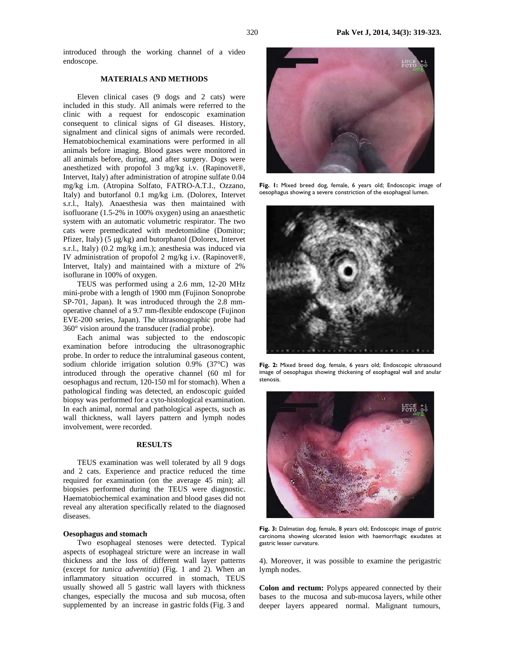introduced through the working channel of a video endoscope.

#### **MATERIALS AND METHODS**

Eleven clinical cases (9 dogs and 2 cats) were included in this study. All animals were referred to the clinic with a request for endoscopic examination consequent to clinical signs of GI diseases. History, signalment and clinical signs of animals were recorded. Hematobiochemical examinations were performed in all animals before imaging. Blood gases were monitored in all animals before, during, and after surgery. Dogs were anesthetized with propofol 3 mg/kg i.v. (Rapinovet®, Intervet, Italy) after administration of atropine sulfate 0.04 mg/kg i.m. (Atropina Solfato, FATRO-A.T.I., Ozzano, Italy) and butorfanol 0.1 mg/kg i.m. (Dolorex, Intervet s.r.l., Italy). Anaesthesia was then maintained with isofluorane (1.5-2% in 100% oxygen) using an anaesthetic system with an automatic volumetric respirator. The two cats were premedicated with medetomidine (Domitor; Pfizer, Italy) (5 µg/kg) and butorphanol (Dolorex, Intervet s.r.l., Italy) (0.2 mg/kg i.m.); anesthesia was induced via IV administration of propofol 2 mg/kg i.v. (Rapinovet®, Intervet, Italy) and maintained with a mixture of 2% isoflurane in 100% of oxygen.

TEUS was performed using a 2.6 mm, 12-20 MHz mini-probe with a length of 1900 mm (Fujinon Sonoprobe SP-701, Japan). It was introduced through the 2.8 mmoperative channel of a 9.7 mm-flexible endoscope (Fujinon EVE-200 series, Japan). The ultrasonographic probe had 360° vision around the transducer (radial probe).

Each animal was subjected to the endoscopic examination before introducing the ultrasonographic probe. In order to reduce the intraluminal gaseous content, sodium chloride irrigation solution 0.9% (37°C) was introduced through the operative channel (60 ml for oesophagus and rectum, 120-150 ml for stomach). When a pathological finding was detected, an endoscopic guided biopsy was performed for a cyto-histological examination. In each animal, normal and pathological aspects, such as wall thickness, wall layers pattern and lymph nodes involvement, were recorded.

## **RESULTS**

TEUS examination was well tolerated by all 9 dogs and 2 cats. Experience and practice reduced the time required for examination (on the average 45 min); all biopsies performed during the TEUS were diagnostic. Haematobiochemical examination and blood gases did not reveal any alteration specifically related to the diagnosed diseases.

### **Oesophagus and stomach**

Two esophageal stenoses were detected. Typical aspects of esophageal stricture were an increase in wall thickness and the loss of different wall layer patterns (except for *tunica adventitia*) (Fig. 1 and 2). When an inflammatory situation occurred in stomach, TEUS usually showed all 5 gastric wall layers with thickness changes, especially the mucosa and sub mucosa, often supplemented by an increase in gastric folds (Fig. 3 and



**Fig. 1:** Mixed breed dog, female, 6 years old; Endoscopic image of oesophagus showing a severe constriction of the esophageal lumen.



**Fig. 2:** Mixed breed dog, female, 6 years old; Endoscopic ultrasound image of oesophagus showing thickening of esophageal wall and anular stenosis.



**Fig. 3:** Dalmatian dog, female, 8 years old; Endoscopic image of gastric carcinoma showing ulcerated lesion with haemorrhagic exudates at gastric lesser curvature.

4). Moreover, it was possible to examine the perigastric lymph nodes.

**Colon and rectum:** Polyps appeared connected by their bases to the mucosa and sub-mucosa layers, while other deeper layers appeared normal. Malignant tumours,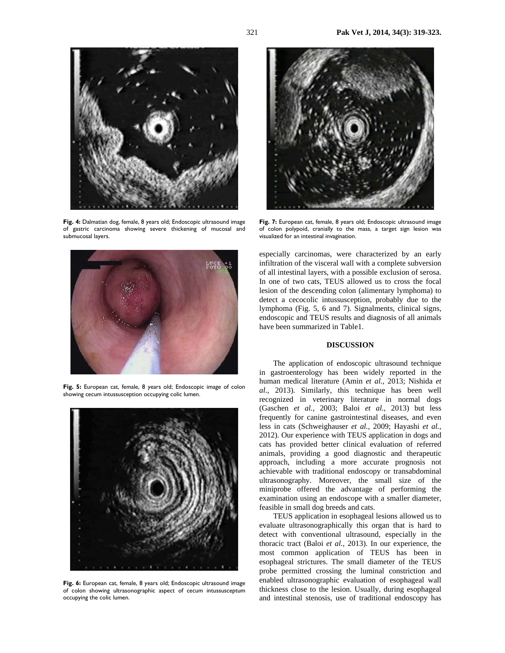

**Fig. 4:** Dalmatian dog, female, 8 years old; Endoscopic ultrasound image of gastric carcinoma showing severe thickening of mucosal and submucosal layers.



**Fig. 5:** European cat, female, 8 years old; Endoscopic image of colon showing cecum intussusception occupying colic lumen.



**Fig. 6:** European cat, female, 8 years old; Endoscopic ultrasound image of colon showing ultrasonographic aspect of cecum intussusceptum occupying the colic lumen.



Fig. 7: European cat, female, 8 years old; Endoscopic ultrasound image of colon polypoid, cranially to the mass, a target sign lesion was visualized for an intestinal invagination.

especially carcinomas, were characterized by an early infiltration of the visceral wall with a complete subversion of all intestinal layers, with a possible exclusion of serosa. In one of two cats, TEUS allowed us to cross the focal lesion of the descending colon (alimentary lymphoma) to detect a cecocolic intussusception, probably due to the lymphoma (Fig. 5, 6 and 7). Signalments, clinical signs, endoscopic and TEUS results and diagnosis of all animals have been summarized in Table1.

## **DISCUSSION**

The application of endoscopic ultrasound technique in gastroenterology has been widely reported in the human medical literature (Amin *et al.*, 2013; Nishida *et al.*, 2013). Similarly, this technique has been well recognized in veterinary literature in normal dogs (Gaschen *et al.,* 2003; Baloi *et al.*, 2013) but less frequently for canine gastrointestinal diseases, and even less in cats (Schweighauser *et al.,* 2009; Hayashi *et al.*, 2012). Our experience with TEUS application in dogs and cats has provided better clinical evaluation of referred animals, providing a good diagnostic and therapeutic approach, including a more accurate prognosis not achievable with traditional endoscopy or transabdominal ultrasonography. Moreover, the small size of the miniprobe offered the advantage of performing the examination using an endoscope with a smaller diameter, feasible in small dog breeds and cats.

TEUS application in esophageal lesions allowed us to evaluate ultrasonographically this organ that is hard to detect with conventional ultrasound, especially in the thoracic tract (Baloi *et al.*, 2013). In our experience, the most common application of TEUS has been in esophageal strictures. The small diameter of the TEUS probe permitted crossing the luminal constriction and enabled ultrasonographic evaluation of esophageal wall thickness close to the lesion. Usually, during esophageal and intestinal stenosis, use of traditional endoscopy has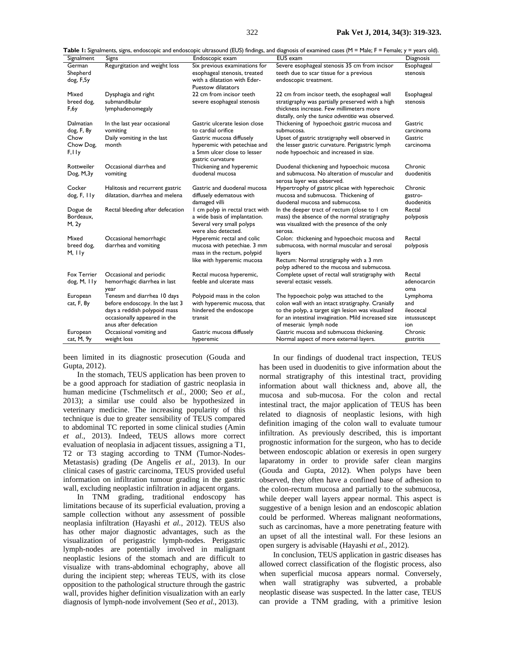**Table 1:** Signalments, signs, endoscopic and endoscopic ultrasound (EUS) findings, and diagnosis of examined cases (M = Male; F = Female; y = years old).

| Signalment         | Signs                                  | Endoscopic exam                                           | rable 1: Signalments, signs, endoscopic and endoscopic ultrasound (EOS) findings, and diagnosis of examined cases (IYI = IYIale; F = Female; Y = Years old)<br><b>EUS</b> exam | Diagnosis            |
|--------------------|----------------------------------------|-----------------------------------------------------------|--------------------------------------------------------------------------------------------------------------------------------------------------------------------------------|----------------------|
| German             | Regurgitation and weight loss          | Six previous examinations for                             | Severe esophageal stenosis 35 cm from incisor                                                                                                                                  | Esophageal           |
| Shepherd           |                                        | esophageal stenosis, treated                              | teeth due to scar tissue for a previous                                                                                                                                        | stenosis             |
| dog, F,5y          |                                        | with a dilatation with Eder-                              | endoscopic treatment.                                                                                                                                                          |                      |
|                    |                                        | <b>Puestow dilatators</b>                                 |                                                                                                                                                                                |                      |
| Mixed              | Dysphagia and right                    | 22 cm from incisor teeth                                  | 22 cm from incisor teeth, the esophageal wall                                                                                                                                  | Esophageal           |
| breed dog,         | submandibular                          | severe esophageal stenosis                                | stratigraphy was partially preserved with a high                                                                                                                               | stenosis             |
| F, 6y              | lymphadenomegaly                       |                                                           | thickness increase. Few millimeters more                                                                                                                                       |                      |
|                    |                                        |                                                           | distally, only the tunica adventitia was observed.                                                                                                                             |                      |
| Dalmatian          | In the last year occasional            | Gastric ulcerate lesion close<br>to cardial orifice       | Thickening of hypoechoic gastric mucosa and                                                                                                                                    | Gastric              |
| dog, F, 8y<br>Chow | vomiting<br>Daily vomiting in the last | Gastric mucosa diffusely                                  | submucosa.<br>Upset of gastric stratigraphy well observed in                                                                                                                   | carcinoma<br>Gastric |
| Chow Dog,          | month                                  | hyperemic with petechiae and                              | the lesser gastric curvature. Perigastric lymph                                                                                                                                | carcinoma            |
| F, I Iy            |                                        | a 5mm ulcer close to lesser                               | node hypoechoic and increased in size.                                                                                                                                         |                      |
|                    |                                        | gastric curvature                                         |                                                                                                                                                                                |                      |
| Rottweiler         | Occasional diarrhea and                | Thickening and hyperemic                                  | Duodenal thickening and hypoechoic mucosa                                                                                                                                      | Chronic              |
| Dog, M,3y          | vomiting                               | duodenal mucosa                                           | and submucosa. No alteration of muscular and                                                                                                                                   | duodenitis           |
|                    |                                        |                                                           | serosa layer was observed.                                                                                                                                                     |                      |
| Cocker             | Halitosis and recurrent gastric        | Gastric and duodenal mucosa                               | Hypertrophy of gastric plicae with hyperechoic                                                                                                                                 | Chronic              |
| dog, F, Ily        | dilatation, diarrhea and melena        | diffusely edematous with                                  | mucosa and submucosa. Thickening of                                                                                                                                            | gastro-              |
|                    |                                        | damaged villi                                             | duodenal mucosa and submucosa.                                                                                                                                                 | duodenitis           |
| Dogue de           | Rectal bleeding after defecation       | I cm polyp in rectal tract with                           | In the deeper tract of rectum (close to I cm                                                                                                                                   | Rectal               |
| Bordeaux,          |                                        | a wide basis of implantation.                             | mass) the absence of the normal stratigraphy                                                                                                                                   | polyposis            |
| M, 2y              |                                        | Several very small polyps                                 | was visualized with the presence of the only                                                                                                                                   |                      |
|                    |                                        | were also detected.                                       | serosa.                                                                                                                                                                        |                      |
| Mixed              | Occasional hemorrhagic                 | Hyperemic rectal and colic                                | Colon: thickening and hypoechoic mucosa and                                                                                                                                    | Rectal               |
| breed dog,         | diarrhea and vomiting                  | mucosa with petechiae. 3 mm                               | submucosa, with normal muscular and serosal                                                                                                                                    | polyposis            |
| M, Ily             |                                        | mass in the rectum, polypid<br>like with hyperemic mucosa | layers<br>Rectum: Normal stratigraphy with a 3 mm                                                                                                                              |                      |
|                    |                                        |                                                           | polyp adhered to the mucosa and submucosa.                                                                                                                                     |                      |
| <b>Fox Terrier</b> | Occasional and periodic                | Rectal mucosa hyperemic,                                  | Complete upset of rectal wall stratigraphy with                                                                                                                                | Rectal               |
| dog, M, IIy        | hemorrhagic diarrhea in last           | feeble and ulcerate mass                                  | several ectasic vessels.                                                                                                                                                       | adenocarcin          |
|                    | year                                   |                                                           |                                                                                                                                                                                | oma                  |
| European           | Tenesm and diarrhea 10 days            | Polypoid mass in the colon                                | The hypoechoic polyp was attached to the                                                                                                                                       | Lymphoma             |
| cat, F, 8y         | before endoscopy. In the last 3        | with hyperemic mucosa, that                               | colon wall with an intact stratigraphy. Cranially                                                                                                                              | and                  |
|                    | days a reddish polypoid mass           | hindered the endoscope                                    | to the polyp, a target sign lesion was visualized                                                                                                                              | ileocecal            |
|                    | occasionally appeared in the           | transit                                                   | for an intestinal invagination. Mild increased size                                                                                                                            | intussuscept         |
|                    | anus after defecation                  |                                                           | of meseraic lymph node                                                                                                                                                         | ion                  |
| European           | Occasional vomiting and                | Gastric mucosa diffusely                                  | Gastric mucosa and submucosa thickening.                                                                                                                                       | Chronic              |
| cat, M, 9y         | weight loss                            | hyperemic                                                 | Normal aspect of more external layers.                                                                                                                                         | gastritis            |

been limited in its diagnostic prosecution (Gouda and Gupta, 2012).

In the stomach, TEUS application has been proven to be a good approach for stadiation of gastric neoplasia in human medicine (Tschmelitsch *et al.,* 2000; Seo *et al.*, 2013); a similar use could also be hypothesized in veterinary medicine. The increasing popularity of this technique is due to greater sensibility of TEUS compared to abdominal TC reported in some clinical studies (Amin *et al.*, 2013). Indeed, TEUS allows more correct evaluation of neoplasia in adjacent tissues, assigning a T1, T2 or T3 staging according to TNM (Tumor-Nodes-Metastasis) grading (De Angelis *et al.*, 2013). In our clinical cases of gastric carcinoma, TEUS provided useful information on infiltration tumour grading in the gastric wall, excluding neoplastic infiltration in adjacent organs.

In TNM grading, traditional endoscopy has limitations because of its superficial evaluation, proving a sample collection without any assessment of possible neoplasia infiltration (Hayashi *et al.*, 2012). TEUS also has other major diagnostic advantages, such as the visualization of perigastric lymph-nodes. Perigastric lymph-nodes are potentially involved in malignant neoplastic lesions of the stomach and are difficult to visualize with trans-abdominal echography, above all during the incipient step; whereas TEUS, with its close opposition to the pathological structure through the gastric wall, provides higher definition visualization with an early diagnosis of lymph-node involvement (Seo *et al.*, 2013).

In our findings of duodenal tract inspection, TEUS has been used in duodenitis to give information about the normal stratigraphy of this intestinal tract, providing information about wall thickness and, above all, the mucosa and sub-mucosa. For the colon and rectal intestinal tract, the major application of TEUS has been related to diagnosis of neoplastic lesions, with high definition imaging of the colon wall to evaluate tumour infiltration. As previously described, this is important prognostic information for the surgeon, who has to decide between endoscopic ablation or exeresis in open surgery laparatomy in order to provide safer clean margins (Gouda and Gupta, 2012). When polyps have been observed, they often have a confined base of adhesion to the colon-rectum mucosa and partially to the submucosa, while deeper wall layers appear normal. This aspect is suggestive of a benign lesion and an endoscopic ablation could be performed. Whereas malignant neoformations, such as carcinomas, have a more penetrating feature with an upset of all the intestinal wall. For these lesions an open surgery is advisable (Hayashi *et al.*, 2012).

In conclusion, TEUS application in gastric diseases has allowed correct classification of the flogistic process, also when superficial mucosa appears normal. Conversely, when wall stratigraphy was subverted, a probable neoplastic disease was suspected. In the latter case, TEUS can provide a TNM grading, with a primitive lesion